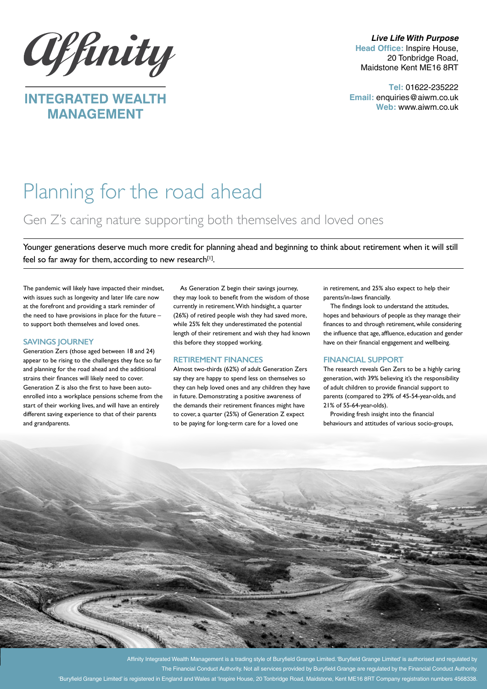

**MANAGEMENT** 

*Live Life With Purpose* **Head Office:** Inspire House, 20 Tonbridge Road, Maidstone Kent ME16 8RT

**Tel:** 01622-235222 **Email:** enquiries@aiwm.co.uk **Web:** www.aiwm.co.uk

# Planning for the road ahead

# Gen Z's caring nature supporting both themselves and loved ones

Younger generations deserve much more credit for planning ahead and beginning to think about retirement when it will still feel so far away for them, according to new research $[1]$ .

The pandemic will likely have impacted their mindset, with issues such as longevity and later life care now at the forefront and providing a stark reminder of the need to have provisions in place for the future – to support both themselves and loved ones.

## **SAVINGS JOURNEY**

Generation Zers (those aged between 18 and 24) appear to be rising to the challenges they face so far and planning for the road ahead and the additional strains their finances will likely need to cover. Generation Z is also the first to have been autoenrolled into a workplace pensions scheme from the start of their working lives, and will have an entirely different saving experience to that of their parents and grandparents.

As Generation Z begin their savings journey, they may look to benefit from the wisdom of those currently in retirement. With hindsight, a quarter (26%) of retired people wish they had saved more, while 25% felt they underestimated the potential length of their retirement and wish they had known this before they stopped working.

### **RETIREMENT FINANCES**

Almost two-thirds (62%) of adult Generation Zers say they are happy to spend less on themselves so they can help loved ones and any children they have in future. Demonstrating a positive awareness of the demands their retirement finances might have to cover, a quarter (25%) of Generation Z expect to be paying for long-term care for a loved one

in retirement, and 25% also expect to help their parents/in-laws financially.

The findings look to understand the attitudes, hopes and behaviours of people as they manage their finances to and through retirement, while considering the influence that age, affluence, education and gender have on their financial engagement and wellbeing.

### **FINANCIAL SUPPORT**

The research reveals Gen Zers to be a highly caring generation, with 39% believing it's the responsibility of adult children to provide financial support to parents (compared to 29% of 45-54-year-olds, and 21% of 55-64-year-olds).

Providing fresh insight into the financial behaviours and attitudes of various socio-groups,



The Financial Conduct Authority. Not all services provided by Buryfield Grange are regulated by the Financial Conduct Authority. 'Buryfield Grange Limited' is registered in England and Wales at 'Inspire House, 20 Tonbridge Road, Maidstone, Kent ME16 8RT Company registration numbers 4568338.